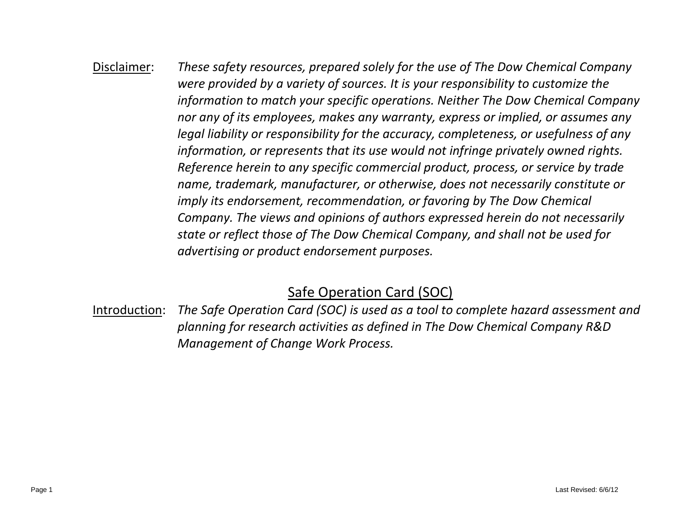# Disclaimer: *These safety resources, prepared solely for the use of The Dow Chemical Company were provided by a variety of sources. It is your responsibility to customize the information to match your specific operations. Neither The Dow Chemical Company nor any of its employees, makes any warranty, express or implied, or assumes any legal liability or responsibility for the accuracy, completeness, or usefulness of any information, or represents that its use would not infringe privately owned rights. Reference herein to any specific commercial product, process, or service by trade name, trademark, manufacturer, or otherwise, does not necessarily constitute or imply its endorsement, recommendation, or favoring by The Dow Chemical Company. The views and opinions of authors expressed herein do not necessarily state or reflect those of The Dow Chemical Company, and shall not be used for advertising or product endorsement purposes.*

# Safe Operation Card (SOC)

Introduction: *The Safe Operation Card (SOC) is used as a tool to complete hazard assessment and planning for research activities as defined in The Dow Chemical Company R&D Management of Change Work Process.*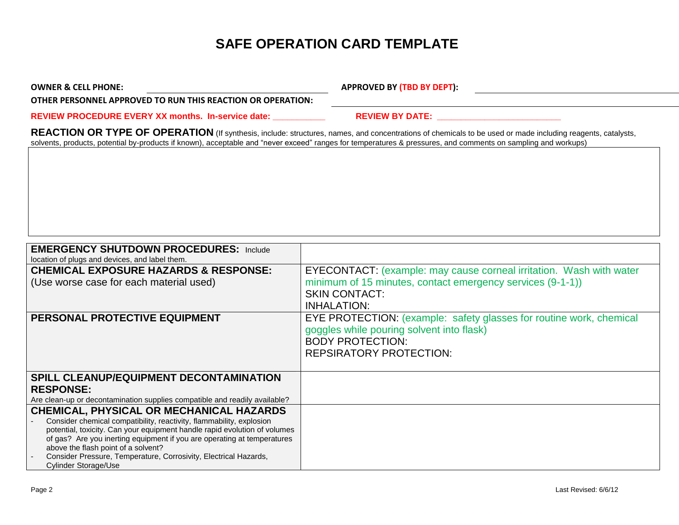# **SAFE OPERATION CARD TEMPLATE**

OWNER & CELL PHONE: **A PERIOD CONNER & CELL PHONE:** APPROVED BY (TBD BY DEPT):

**OTHER PERSONNEL APPROVED TO RUN THIS REACTION OR OPERATION:**

**REVIEW PROCEDURE EVERY XX months. In-service date: \_\_\_\_\_\_\_\_\_\_\_ REVIEW BY DATE: \_\_\_\_\_\_\_\_\_\_\_\_\_\_\_\_\_\_\_\_\_\_\_\_\_\_**

**REACTION OR TYPE OF OPERATION** (If synthesis, include: structures, names, and concentrations of chemicals to be used or made including reagents, catalysts, solvents, products, potential by-products if known), acceptable and "never exceed" ranges for temperatures & pressures, and comments on sampling and workups)

| <b>EMERGENCY SHUTDOWN PROCEDURES: Include</b>                                                           |                                                                     |
|---------------------------------------------------------------------------------------------------------|---------------------------------------------------------------------|
| location of plugs and devices, and label them.                                                          |                                                                     |
| <b>CHEMICAL EXPOSURE HAZARDS &amp; RESPONSE:</b>                                                        | EYECONTACT: (example: may cause corneal irritation. Wash with water |
| (Use worse case for each material used)                                                                 | minimum of 15 minutes, contact emergency services (9-1-1))          |
|                                                                                                         | <b>SKIN CONTACT:</b>                                                |
|                                                                                                         | <b>INHALATION:</b>                                                  |
| PERSONAL PROTECTIVE EQUIPMENT                                                                           | EYE PROTECTION: (example: safety glasses for routine work, chemical |
|                                                                                                         | goggles while pouring solvent into flask)                           |
|                                                                                                         | <b>BODY PROTECTION:</b>                                             |
|                                                                                                         | <b>REPSIRATORY PROTECTION:</b>                                      |
|                                                                                                         |                                                                     |
| <b>SPILL CLEANUP/EQUIPMENT DECONTAMINATION</b>                                                          |                                                                     |
| <b>RESPONSE:</b>                                                                                        |                                                                     |
| Are clean-up or decontamination supplies compatible and readily available?                              |                                                                     |
| <b>CHEMICAL, PHYSICAL OR MECHANICAL HAZARDS</b>                                                         |                                                                     |
| Consider chemical compatibility, reactivity, flammability, explosion                                    |                                                                     |
| potential, toxicity. Can your equipment handle rapid evolution of volumes                               |                                                                     |
| of gas? Are you inerting equipment if you are operating at temperatures                                 |                                                                     |
| above the flash point of a solvent?<br>Consider Pressure, Temperature, Corrosivity, Electrical Hazards, |                                                                     |
| Cylinder Storage/Use                                                                                    |                                                                     |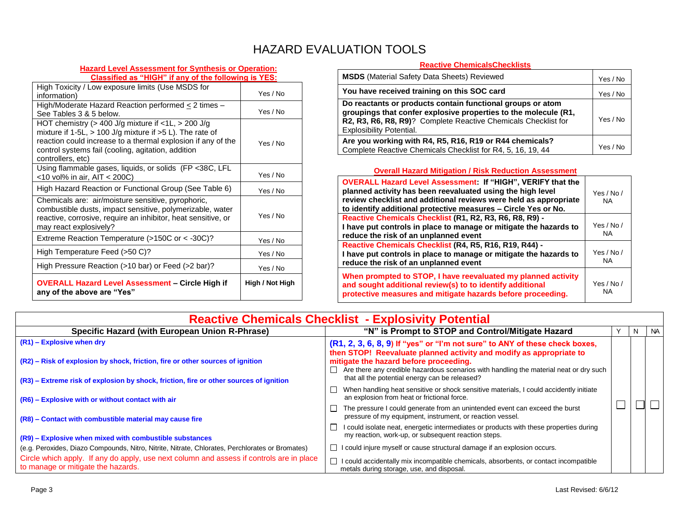### HAZARD EVALUATION TOOLS

#### **Hazard Level Assessment for Synthesis or Operation: Classified as "HIGH" if any of the following is YES:**

| High Toxicity / Low exposure limits (Use MSDS for<br>information)                                                                                                                                                                                                     | Yes / No        |
|-----------------------------------------------------------------------------------------------------------------------------------------------------------------------------------------------------------------------------------------------------------------------|-----------------|
| High/Moderate Hazard Reaction performed $\leq$ 2 times –<br>See Tables 3 & 5 below.                                                                                                                                                                                   | Yes / No        |
| HOT chemistry ( $>$ 400 J/g mixture if $<$ 1L, $>$ 200 J/g<br>mixture if 1-5L, $> 100$ J/g mixture if $>5$ L). The rate of<br>reaction could increase to a thermal explosion if any of the<br>control systems fail (cooling, agitation, addition<br>controllers, etc) | Yes / No        |
| Using flammable gases, liquids, or solids (FP <38C, LFL<br><10 vol% in air, AIT < 200C)                                                                                                                                                                               | Yes / No        |
| High Hazard Reaction or Functional Group (See Table 6)                                                                                                                                                                                                                | Yes / No        |
| Chemicals are: air/moisture sensitive, pyrophoric,<br>combustible dusts, impact sensitive, polymerizable, water<br>reactive, corrosive, require an inhibitor, heat sensitive, or<br>may react explosively?                                                            | Yes / No        |
| Extreme Reaction Temperature ( $>150C$ or $<$ -30C)?                                                                                                                                                                                                                  | Yes / No        |
| High Temperature Feed (>50 C)?                                                                                                                                                                                                                                        | Yes / No        |
| High Pressure Reaction (>10 bar) or Feed (>2 bar)?                                                                                                                                                                                                                    | Yes / No        |
| <b>OVERALL Hazard Level Assessment – Circle High if</b><br>any of the above are "Yes"                                                                                                                                                                                 | High / Not High |

#### **Reactive ChemicalsChecklists**

| <b>MSDS</b> (Material Safety Data Sheets) Reviewed                                                                                                                                                                          | Yes / No |
|-----------------------------------------------------------------------------------------------------------------------------------------------------------------------------------------------------------------------------|----------|
| You have received training on this SOC card                                                                                                                                                                                 |          |
| Do reactants or products contain functional groups or atom<br>groupings that confer explosive properties to the molecule (R1,<br>R2, R3, R6, R8, R9)? Complete Reactive Chemicals Checklist for<br>Explosibility Potential. |          |
| Are you working with R4, R5, R16, R19 or R44 chemicals?<br>Complete Reactive Chemicals Checklist for R4, 5, 16, 19, 44                                                                                                      | Yes / No |

#### **Overall Hazard Mitigation / Risk Reduction Assessment**

| <b>OVERALL Hazard Level Assessment: If "HIGH", VERIFY that the</b><br>planned activity has been reevaluated using the high level<br>review checklist and additional reviews were held as appropriate<br>to identify additional protective measures - Circle Yes or No. | Yes / $No/$<br><b>NA</b> |
|------------------------------------------------------------------------------------------------------------------------------------------------------------------------------------------------------------------------------------------------------------------------|--------------------------|
| Reactive Chemicals Checklist (R1, R2, R3, R6, R8, R9) -                                                                                                                                                                                                                | Yes / $No/$              |
| I have put controls in place to manage or mitigate the hazards to<br>reduce the risk of an unplanned event                                                                                                                                                             | NA.                      |
| Reactive Chemicals Checklist (R4, R5, R16, R19, R44) -<br>I have put controls in place to manage or mitigate the hazards to<br>reduce the risk of an unplanned event                                                                                                   | Yes / No /<br>NA.        |
| When prompted to STOP, I have reevaluated my planned activity<br>and sought additional review(s) to to identify additional<br>protective measures and mitigate hazards before proceeding.                                                                              | Yes / $No/$<br>NA.       |

|                                                                                                                                                                          | <b>Reactive Chemicals Checklist - Explosivity Potential</b>                                                                                                                        |  |   |     |
|--------------------------------------------------------------------------------------------------------------------------------------------------------------------------|------------------------------------------------------------------------------------------------------------------------------------------------------------------------------------|--|---|-----|
| Specific Hazard (with European Union R-Phrase)                                                                                                                           | "N" is Prompt to STOP and Control/Mitigate Hazard                                                                                                                                  |  | N | NA. |
| $(R1)$ – Explosive when dry                                                                                                                                              | (R1, 2, 3, 6, 8, 9) If "yes" or "I'm not sure" to ANY of these check boxes,<br>then STOP! Reevaluate planned activity and modify as appropriate to                                 |  |   |     |
| (R2) - Risk of explosion by shock, friction, fire or other sources of ignition<br>(R3) – Extreme risk of explosion by shock, friction, fire or other sources of ignition | mitigate the hazard before proceeding.<br>Are there any credible hazardous scenarios with handling the material neat or dry such<br>that all the potential energy can be released? |  |   |     |
| (R6) - Explosive with or without contact with air                                                                                                                        | When handling heat sensitive or shock sensitive materials, I could accidently initiate<br>an explosion from heat or frictional force.                                              |  |   |     |
| (R8) – Contact with combustible material may cause fire                                                                                                                  | The pressure I could generate from an unintended event can exceed the burst<br>pressure of my equipment, instrument, or reaction vessel.                                           |  |   |     |
| (R9) – Explosive when mixed with combustible substances                                                                                                                  | I could isolate neat, energetic intermediates or products with these properties during<br>my reaction, work-up, or subsequent reaction steps.                                      |  |   |     |
| (e.g. Peroxides, Diazo Compounds, Nitro, Nitrite, Nitrate, Chlorates, Perchlorates or Bromates)                                                                          | $\Box$ I could injure myself or cause structural damage if an explosion occurs.                                                                                                    |  |   |     |
| Circle which apply. If any do apply, use next column and assess if controls are in place<br>to manage or mitigate the hazards.                                           | I could accidentally mix incompatible chemicals, absorbents, or contact incompatible<br>metals during storage, use, and disposal.                                                  |  |   |     |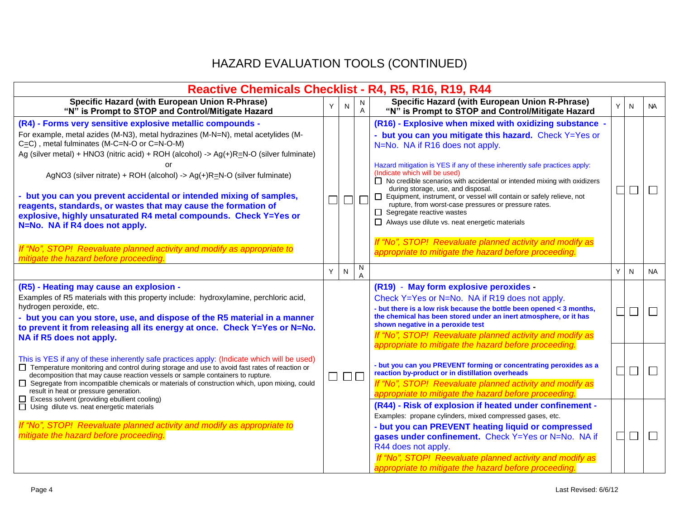# HAZARD EVALUATION TOOLS (CONTINUED)

| Reactive Chemicals Checklist - R4, R5, R16, R19, R44                                                                                                                                                                                                                                                                                                                                                                                                                                                                                                                                                                                                                                                     |        |                               |                   |                                                                                                                                                                                                                                                                                                                                                                                                                                                                                                                                                                                                                                                                                                                                 |   |                          |                             |
|----------------------------------------------------------------------------------------------------------------------------------------------------------------------------------------------------------------------------------------------------------------------------------------------------------------------------------------------------------------------------------------------------------------------------------------------------------------------------------------------------------------------------------------------------------------------------------------------------------------------------------------------------------------------------------------------------------|--------|-------------------------------|-------------------|---------------------------------------------------------------------------------------------------------------------------------------------------------------------------------------------------------------------------------------------------------------------------------------------------------------------------------------------------------------------------------------------------------------------------------------------------------------------------------------------------------------------------------------------------------------------------------------------------------------------------------------------------------------------------------------------------------------------------------|---|--------------------------|-----------------------------|
| <b>Specific Hazard (with European Union R-Phrase)</b><br>"N" is Prompt to STOP and Control/Mitigate Hazard                                                                                                                                                                                                                                                                                                                                                                                                                                                                                                                                                                                               | Υ      | N                             | N<br>$\mathsf{A}$ | Specific Hazard (with European Union R-Phrase)<br>"N" is Prompt to STOP and Control/Mitigate Hazard                                                                                                                                                                                                                                                                                                                                                                                                                                                                                                                                                                                                                             | Y | N.                       | <b>NA</b>                   |
| (R4) - Forms very sensitive explosive metallic compounds -<br>For example, metal azides (M-N3), metal hydrazines (M-N=N), metal acetylides (M-<br>$C = C$ ), metal fulminates (M-C=N-O or C=N-O-M)<br>Ag (silver metal) + HNO3 (nitric acid) + ROH (alcohol) -> Ag(+)R=N-O (silver fulminate)<br>or<br>AgNO3 (silver nitrate) + ROH (alcohol) -> Ag(+)R=N-O (silver fulminate)<br>- but you can you prevent accidental or intended mixing of samples,<br>reagents, standards, or wastes that may cause the formation of<br>explosive, highly unsaturated R4 metal compounds. Check Y=Yes or<br>N=No. NA if R4 does not apply.<br>If "No", STOP! Reevaluate planned activity and modify as appropriate to | $\Box$ | $\Box$                        |                   | (R16) - Explosive when mixed with oxidizing substance -<br>- but you can you mitigate this hazard. Check Y=Yes or<br>N=No. NA if R16 does not apply.<br>Hazard mitigation is YES if any of these inherently safe practices apply:<br>(Indicate which will be used)<br>$\Box$ No credible scenarios with accidental or intended mixing with oxidizers<br>during storage, use, and disposal.<br>Equipment, instrument, or vessel will contain or safely relieve, not<br>rupture, from worst-case pressures or pressure rates.<br>Segregate reactive wastes<br>Always use dilute vs. neat energetic materials<br>If "No", STOP! Reevaluate planned activity and modify as<br>appropriate to mitigate the hazard before proceeding. | Γ | $\overline{\phantom{0}}$ | $\sqcup$                    |
| mitigate the hazard before proceeding.                                                                                                                                                                                                                                                                                                                                                                                                                                                                                                                                                                                                                                                                   | Y      | N                             | N<br>A            |                                                                                                                                                                                                                                                                                                                                                                                                                                                                                                                                                                                                                                                                                                                                 | Y | N                        | NA                          |
| (R5) - Heating may cause an explosion -<br>Examples of R5 materials with this property include: hydroxylamine, perchloric acid,<br>hydrogen peroxide, etc.<br>- but you can you store, use, and dispose of the R5 material in a manner<br>to prevent it from releasing all its energy at once. Check Y=Yes or N=No.<br>NA if R5 does not apply.                                                                                                                                                                                                                                                                                                                                                          |        |                               |                   | (R19) - May form explosive peroxides -<br>Check Y=Yes or N=No. NA if R19 does not apply.<br>- but there is a low risk because the bottle been opened < 3 months,<br>the chemical has been stored under an inert atmosphere, or it has<br>shown negative in a peroxide test<br>If "No", STOP! Reevaluate planned activity and modify as<br>appropriate to mitigate the hazard before proceeding.                                                                                                                                                                                                                                                                                                                                 |   | ÷,                       | $\mathcal{L}_{\mathcal{A}}$ |
| This is YES if any of these inherently safe practices apply: (Indicate which will be used)<br>□ Temperature monitoring and control during storage and use to avoid fast rates of reaction or<br>decomposition that may cause reaction vessels or sample containers to rupture.<br>Segregate from incompatible chemicals or materials of construction which, upon mixing, could<br>□<br>result in heat or pressure generation.<br>Excess solvent (providing ebullient cooling)                                                                                                                                                                                                                            |        | $\square$ $\square$ $\square$ |                   | - but you can you PREVENT forming or concentrating peroxides as a<br>reaction by-product or in distillation overheads<br>If "No", STOP! Reevaluate planned activity and modify as<br>appropriate to mitigate the hazard before proceeding                                                                                                                                                                                                                                                                                                                                                                                                                                                                                       |   | $\Box$                   | $\Box$                      |
| Using dilute vs. neat energetic materials<br>If "No", STOP! Reevaluate planned activity and modify as appropriate to<br>mitigate the hazard before proceeding.                                                                                                                                                                                                                                                                                                                                                                                                                                                                                                                                           |        |                               |                   | (R44) - Risk of explosion if heated under confinement -<br>Examples: propane cylinders, mixed compressed gases, etc.<br>- but you can PREVENT heating liquid or compressed<br>gases under confinement. Check Y=Yes or N=No. NA if<br>R44 does not apply.<br>If "No", STOP! Reevaluate planned activity and modify as<br>appropriate to mitigate the hazard before proceeding.                                                                                                                                                                                                                                                                                                                                                   |   | $\overline{\phantom{a}}$ | $\Box$                      |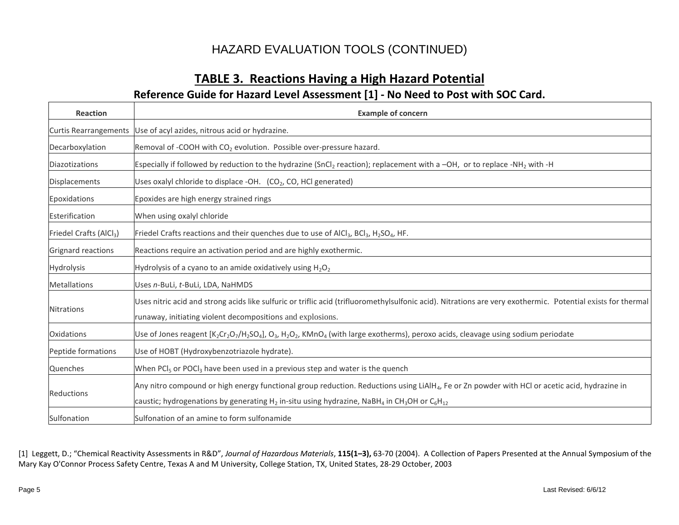## HAZARD EVALUATION TOOLS (CONTINUED)

### **TABLE 3. Reactions Having a High Hazard Potential Reference Guide for Hazard Level Assessment [1] - No Need to Post with SOC Card.**

| <b>Reaction</b>                     | <b>Example of concern</b>                                                                                                                                                                                                                                                                                            |
|-------------------------------------|----------------------------------------------------------------------------------------------------------------------------------------------------------------------------------------------------------------------------------------------------------------------------------------------------------------------|
| <b>Curtis Rearrangements</b>        | Use of acyl azides, nitrous acid or hydrazine.                                                                                                                                                                                                                                                                       |
| Decarboxylation                     | Removal of -COOH with CO <sub>2</sub> evolution. Possible over-pressure hazard.                                                                                                                                                                                                                                      |
| Diazotizations                      | Especially if followed by reduction to the hydrazine (SnCl <sub>2</sub> reaction); replacement with a -OH, or to replace -NH <sub>2</sub> with -H                                                                                                                                                                    |
| <b>Displacements</b>                | Uses oxalyl chloride to displace -OH. $(CO2, CO, HCl$ generated)                                                                                                                                                                                                                                                     |
| Epoxidations                        | Epoxides are high energy strained rings                                                                                                                                                                                                                                                                              |
| Esterification                      | When using oxalyl chloride                                                                                                                                                                                                                                                                                           |
| Friedel Crafts (AlCl <sub>3</sub> ) | Friedel Crafts reactions and their quenches due to use of AlCl <sub>3</sub> , BCl <sub>3</sub> , H <sub>2</sub> SO <sub>4</sub> , HF.                                                                                                                                                                                |
| Grignard reactions                  | Reactions require an activation period and are highly exothermic.                                                                                                                                                                                                                                                    |
| <b>Hydrolysis</b>                   | Hydrolysis of a cyano to an amide oxidatively using $H_2O_2$                                                                                                                                                                                                                                                         |
| <b>Metallations</b>                 | Uses n-BuLi, t-BuLi, LDA, NaHMDS                                                                                                                                                                                                                                                                                     |
| <b>Nitrations</b>                   | Uses nitric acid and strong acids like sulfuric or triflic acid (trifluoromethylsulfonic acid). Nitrations are very exothermic. Potential exists for thermal<br>runaway, initiating violent decompositions and explosions.                                                                                           |
| Oxidations                          | Use of Jones reagent [K <sub>2</sub> Cr <sub>2</sub> O <sub>7</sub> /H <sub>2</sub> SO <sub>4</sub> ], O <sub>3</sub> , H <sub>2</sub> O <sub>2</sub> , KMnO <sub>4</sub> (with large exotherms), peroxo acids, cleavage using sodium periodate                                                                      |
| Peptide formations                  | Use of HOBT (Hydroxybenzotriazole hydrate).                                                                                                                                                                                                                                                                          |
| Quenches                            | When PCI <sub>5</sub> or POCI <sub>3</sub> have been used in a previous step and water is the quench                                                                                                                                                                                                                 |
| Reductions                          | Any nitro compound or high energy functional group reduction. Reductions using LiAlH <sub>4</sub> , Fe or Zn powder with HCl or acetic acid, hydrazine in<br>caustic; hydrogenations by generating H <sub>2</sub> in-situ using hydrazine, NaBH <sub>4</sub> in CH <sub>3</sub> OH or C <sub>6</sub> H <sub>12</sub> |
| Sulfonation                         | Sulfonation of an amine to form sulfonamide                                                                                                                                                                                                                                                                          |

[1] Leggett, D.; "Chemical Reactivity Assessments in R&D", *Journal of Hazardous Materials*, **115(1–3),** 63-70 (2004). A Collection of Papers Presented at the Annual Symposium of the Mary Kay O'Connor Process Safety Centre, Texas A and M University, College Station, TX, United States, 28-29 October, 2003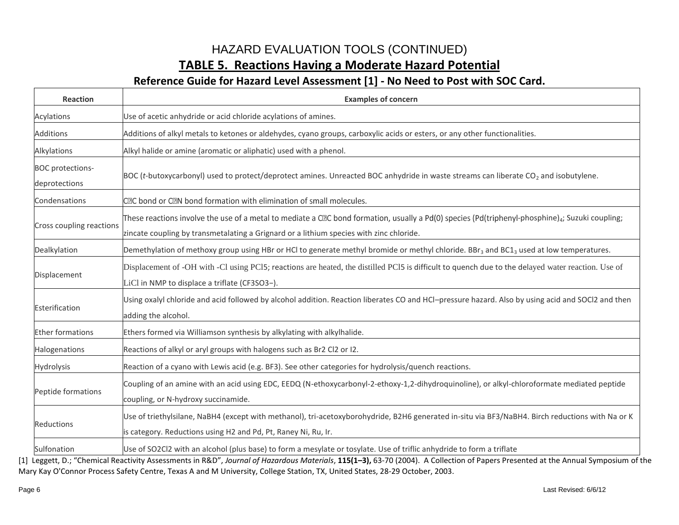# HAZARD EVALUATION TOOLS (CONTINUED) **TABLE 5. Reactions Having a Moderate Hazard Potential**

#### **Reference Guide for Hazard Level Assessment [1] - No Need to Post with SOC Card.**

| <b>Reaction</b>                          | <b>Examples of concern</b>                                                                                                                                                                                                                                           |
|------------------------------------------|----------------------------------------------------------------------------------------------------------------------------------------------------------------------------------------------------------------------------------------------------------------------|
| Acylations                               | Use of acetic anhydride or acid chloride acylations of amines.                                                                                                                                                                                                       |
| <b>Additions</b>                         | Additions of alkyl metals to ketones or aldehydes, cyano groups, carboxylic acids or esters, or any other functionalities.                                                                                                                                           |
| Alkylations                              | Alkyl halide or amine (aromatic or aliphatic) used with a phenol.                                                                                                                                                                                                    |
| <b>BOC</b> protections-<br>deprotections | BOC (t-butoxycarbonyl) used to protect/deprotect amines. Unreacted BOC anhydride in waste streams can liberate CO <sub>2</sub> and isobutylene.                                                                                                                      |
| Condensations                            | C <sub>2</sub> C bond or C <sub>2</sub> N bond formation with elimination of small molecules.                                                                                                                                                                        |
| Cross coupling reactions                 | These reactions involve the use of a metal to mediate a C $\mathbb{Z}$ C bond formation, usually a Pd(0) species (Pd(triphenyl-phosphine) <sub>4</sub> ; Suzuki coupling;<br>zincate coupling by transmetalating a Grignard or a lithium species with zinc chloride. |
| Dealkylation                             | Demethylation of methoxy group using HBr or HCl to generate methyl bromide or methyl chloride. BBr <sub>3</sub> and BC1 <sub>3</sub> used at low temperatures.                                                                                                       |
| Displacement                             | Displacement of -OH with -Cl using PC15; reactions are heated, the distilled PC15 is difficult to quench due to the delayed water reaction. Use of<br>LiCl in NMP to displace a triflate (CF3SO3-).                                                                  |
| Esterification                           | Using oxalyl chloride and acid followed by alcohol addition. Reaction liberates CO and HCl-pressure hazard. Also by using acid and SOCl2 and then<br>adding the alcohol.                                                                                             |
| <b>Ether formations</b>                  | Ethers formed via Williamson synthesis by alkylating with alkylhalide.                                                                                                                                                                                               |
| Halogenations                            | Reactions of alkyl or aryl groups with halogens such as Br2 Cl2 or I2.                                                                                                                                                                                               |
| Hydrolysis                               | Reaction of a cyano with Lewis acid (e.g. BF3). See other categories for hydrolysis/quench reactions.                                                                                                                                                                |
| Peptide formations                       | Coupling of an amine with an acid using EDC, EEDQ (N-ethoxycarbonyl-2-ethoxy-1,2-dihydroquinoline), or alkyl-chloroformate mediated peptide<br>coupling, or N-hydroxy succinamide.                                                                                   |
| Reductions                               | Use of triethylsilane, NaBH4 (except with methanol), tri-acetoxyborohydride, B2H6 generated in-situ via BF3/NaBH4. Birch reductions with Na or K<br>is category. Reductions using H2 and Pd, Pt, Raney Ni, Ru, Ir.                                                   |
| Sulfonation                              | Use of SO2Cl2 with an alcohol (plus base) to form a mesylate or tosylate. Use of triflic anhydride to form a triflate                                                                                                                                                |

[1] Leggett, D.; "Chemical Reactivity Assessments in R&D", *Journal of Hazardous Materials*, **115(1–3),** 63-70 (2004). A Collection of Papers Presented at the Annual Symposium of the Mary Kay O'Connor Process Safety Centre, Texas A and M University, College Station, TX, United States, 28-29 October, 2003.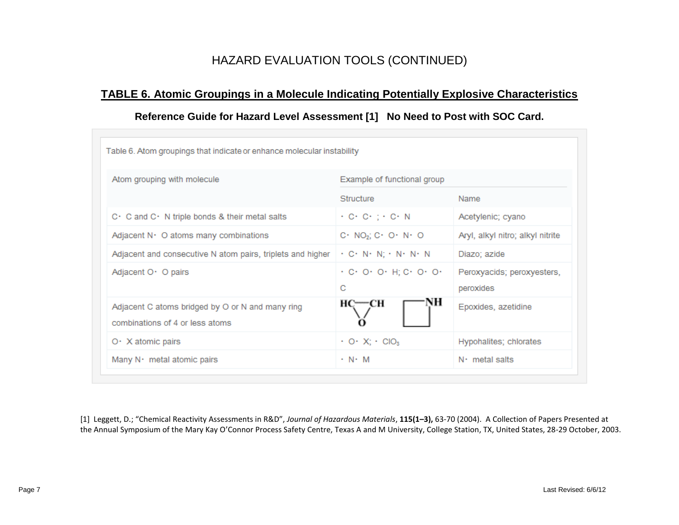## HAZARD EVALUATION TOOLS (CONTINUED)

### **TABLE 6. Atomic Groupings in a Molecule Indicating Potentially Explosive Characteristics**

#### **Reference Guide for Hazard Level Assessment [1] No Need to Post with SOC Card.**

| Atom grouping with molecule                                                         | Example of functional group                                                 |                                         |  |
|-------------------------------------------------------------------------------------|-----------------------------------------------------------------------------|-----------------------------------------|--|
|                                                                                     | Structure                                                                   | Name                                    |  |
| C · C and C · N triple bonds & their metal salts                                    | $\cdot$ C $\cdot$ C $\cdot$ ; $\cdot$ C $\cdot$ N                           | Acetylenic; cyano                       |  |
| Adjacent N · O atoms many combinations                                              | $C \cdot NO_2$ ; $C \cdot O \cdot N \cdot O$                                | Aryl, alkyl nitro; alkyl nitrite        |  |
| Adjacent and consecutive N atom pairs, triplets and higher                          | $\cdot$ C $\cdot$ N $\cdot$ N; $\cdot$ N $\cdot$ N $\cdot$ N                | Diazo; azide                            |  |
| Adjacent O · O pairs                                                                | $\cdot$ C $\cdot$ O $\cdot$ O $\cdot$ H; C $\cdot$ O $\cdot$ O $\cdot$<br>C | Peroxyacids; peroxyesters,<br>peroxides |  |
| Adjacent C atoms bridged by O or N and many ring<br>combinations of 4 or less atoms | н<br>—сн                                                                    | Epoxides, azetidine                     |  |
| $O \cdot X$ atomic pairs                                                            | $\cdot$ O $\cdot$ X; $\cdot$ CIO <sub>3</sub>                               | Hypohalites; chlorates                  |  |
| Many N · metal atomic pairs                                                         | $\cdot$ N $\cdot$ M                                                         | $N1$ metal salts                        |  |

[1] Leggett, D.; "Chemical Reactivity Assessments in R&D", *Journal of Hazardous Materials*, **115(1–3),** 63-70 (2004). A Collection of Papers Presented at the Annual Symposium of the Mary Kay O'Connor Process Safety Centre, Texas A and M University, College Station, TX, United States, 28-29 October, 2003.